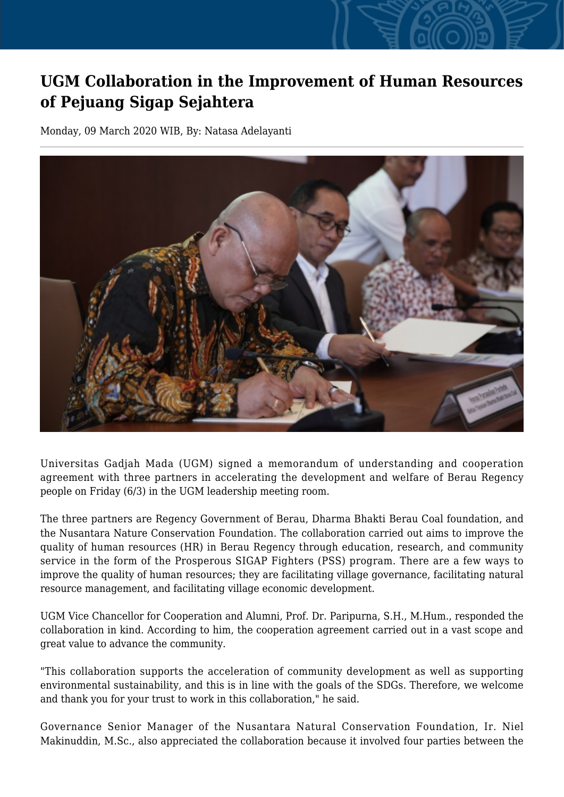## **UGM Collaboration in the Improvement of Human Resources of Pejuang Sigap Sejahtera**

Monday, 09 March 2020 WIB, By: Natasa Adelayanti



Universitas Gadjah Mada (UGM) signed a memorandum of understanding and cooperation agreement with three partners in accelerating the development and welfare of Berau Regency people on Friday (6/3) in the UGM leadership meeting room.

The three partners are Regency Government of Berau, Dharma Bhakti Berau Coal foundation, and the Nusantara Nature Conservation Foundation. The collaboration carried out aims to improve the quality of human resources (HR) in Berau Regency through education, research, and community service in the form of the Prosperous SIGAP Fighters (PSS) program. There are a few ways to improve the quality of human resources; they are facilitating village governance, facilitating natural resource management, and facilitating village economic development.

UGM Vice Chancellor for Cooperation and Alumni, Prof. Dr. Paripurna, S.H., M.Hum., responded the collaboration in kind. According to him, the cooperation agreement carried out in a vast scope and great value to advance the community.

"This collaboration supports the acceleration of community development as well as supporting environmental sustainability, and this is in line with the goals of the SDGs. Therefore, we welcome and thank you for your trust to work in this collaboration," he said.

Governance Senior Manager of the Nusantara Natural Conservation Foundation, Ir. Niel Makinuddin, M.Sc., also appreciated the collaboration because it involved four parties between the